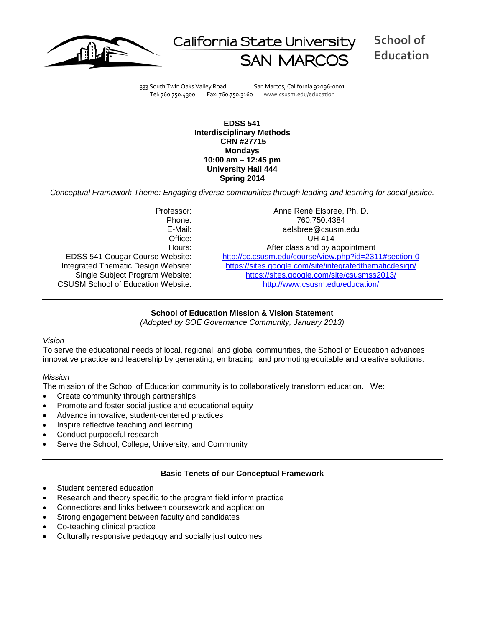



**School of Education**

333 South Twin Oaks Valley Road San Marcos, California 92096-0001 Tel: 760.750.4300 Fax: 760.750.3160 www.csusm.edu/education

**EDSS 541 Interdisciplinary Methods CRN #27715 Mondays 10:00 am – 12:45 pm University Hall 444 Spring 2014** 

*Conceptual Framework Theme: Engaging diverse communities through leading and learning for social justice.*

CSUSM School of Education Website:

Professor: Anne René Elsbree, Ph. D. Phone: 760.750.4384<br>E-Mail: 760.750.4384<br>E-Mail: 760.750.4384 aelsbree@csusm.edu Office: UH 414 Hours: Hours: After class and by appointment<br>EDSS 541 Cougar Course Website: http://cc.csusm.edu/course/view.php?id=231 <http://cc.csusm.edu/course/view.php?id=2311#section-0> Integrated Thematic Design Website: <https://sites.google.com/site/integratedthematicdesign/><br>Single Subject Program Website: https://sites.google.com/site/csusmss2013/ <https://sites.google.com/site/csusmss2013/><br>http://www.csusm.edu/education/

# **School of Education Mission & Vision Statement**

*(Adopted by SOE Governance Community, January 2013)*

# *Vision*

To serve the educational needs of local, regional, and global communities, the School of Education advances innovative practice and leadership by generating, embracing, and promoting equitable and creative solutions.

#### *Mission*

The mission of the School of Education community is to collaboratively transform education. We:

- Create community through partnerships
- Promote and foster social justice and educational equity
- Advance innovative, student-centered practices
- Inspire reflective teaching and learning
- Conduct purposeful research
- Serve the School, College, University, and Community

#### **Basic Tenets of our Conceptual Framework**

- Student centered education
- Research and theory specific to the program field inform practice
- Connections and links between coursework and application
- Strong engagement between faculty and candidates
- Co-teaching clinical practice
- Culturally responsive pedagogy and socially just outcomes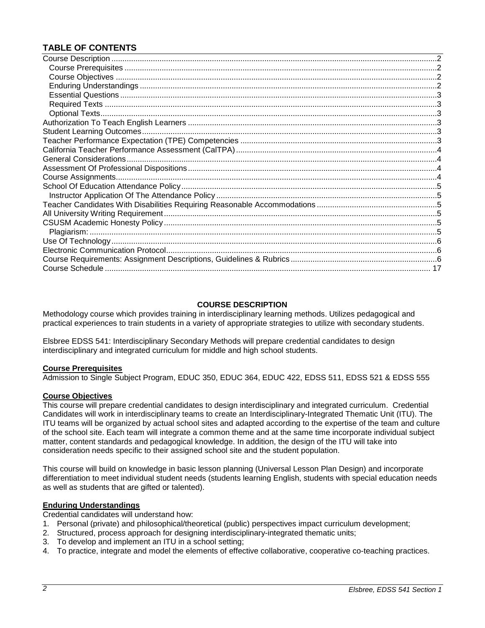# **TABLE OF CONTENTS**

#### **COURSE DESCRIPTION**

<span id="page-1-0"></span>Methodology course which provides training in interdisciplinary learning methods. Utilizes pedagogical and practical experiences to train students in a variety of appropriate strategies to utilize with secondary students.

Elsbree EDSS 541: Interdisciplinary Secondary Methods will prepare credential candidates to design interdisciplinary and integrated curriculum for middle and high school students.

#### <span id="page-1-1"></span>**Course Prerequisites**

Admission to Single Subject Program, EDUC 350, EDUC 364, EDUC 422, EDSS 511, EDSS 521 & EDSS 555

#### <span id="page-1-2"></span>**Course Objectives**

This course will prepare credential candidates to design interdisciplinary and integrated curriculum. Credential Candidates will work in interdisciplinary teams to create an Interdisciplinary-Integrated Thematic Unit (ITU). The ITU teams will be organized by actual school sites and adapted according to the expertise of the team and culture of the school site. Each team will integrate a common theme and at the same time incorporate individual subject matter, content standards and pedagogical knowledge. In addition, the design of the ITU will take into consideration needs specific to their assigned school site and the student population.

This course will build on knowledge in basic lesson planning (Universal Lesson Plan Design) and incorporate differentiation to meet individual student needs (students learning English, students with special education needs as well as students that are gifted or talented).

#### <span id="page-1-3"></span>**Enduring Understandings**

Credential candidates will understand how:

- 1. Personal (private) and philosophical/theoretical (public) perspectives impact curriculum development;
- 2. Structured, process approach for designing interdisciplinary-integrated thematic units;
- 3. To develop and implement an ITU in a school setting;
- <span id="page-1-4"></span>4. To practice, integrate and model the elements of effective collaborative, cooperative co-teaching practices.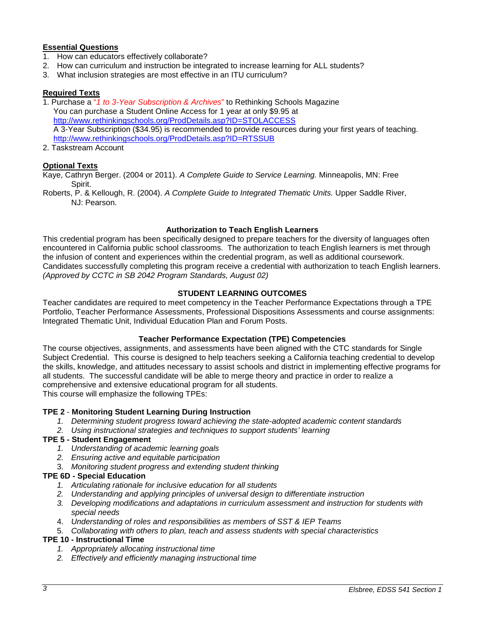### **Essential Questions**

- 1. How can educators effectively collaborate?
- 2. How can curriculum and instruction be integrated to increase learning for ALL students?
- 3. What inclusion strategies are most effective in an ITU curriculum?

# <span id="page-2-0"></span>**Required Texts**

1. Purchase a "*1 to 3-Year Subscription & Archives*" to Rethinking Schools Magazine You can purchase a Student Online Access for 1 year at only \$9.95 at <http://www.rethinkingschools.org/ProdDetails.asp?ID=STOLACCESS> A 3-Year Subscription (\$34.95) is recommended to provide resources during your first years of teaching. <http://www.rethinkingschools.org/ProdDetails.asp?ID=RTSSUB>

2. Taskstream Account

#### <span id="page-2-1"></span>**Optional Texts**

Kaye, Cathryn Berger. (2004 or 2011). *A Complete Guide to Service Learning.* Minneapolis, MN: Free Spirit.

Roberts, P. & Kellough, R. (2004). *A Complete Guide to Integrated Thematic Units.* Upper Saddle River, NJ: Pearson.

#### **Authorization to Teach English Learners**

<span id="page-2-2"></span>This credential program has been specifically designed to prepare teachers for the diversity of languages often encountered in California public school classrooms. The authorization to teach English learners is met through the infusion of content and experiences within the credential program, as well as additional coursework. Candidates successfully completing this program receive a credential with authorization to teach English learners. *(Approved by CCTC in SB 2042 Program Standards, August 02)*

#### **STUDENT LEARNING OUTCOMES**

<span id="page-2-3"></span>Teacher candidates are required to meet competency in the Teacher Performance Expectations through a TPE Portfolio, Teacher Performance Assessments, Professional Dispositions Assessments and course assignments: Integrated Thematic Unit, Individual Education Plan and Forum Posts.

#### **Teacher Performance Expectation (TPE) Competencies**

<span id="page-2-4"></span>The course objectives, assignments, and assessments have been aligned with the CTC standards for Single Subject Credential. This course is designed to help teachers seeking a California teaching credential to develop the skills, knowledge, and attitudes necessary to assist schools and district in implementing effective programs for all students. The successful candidate will be able to merge theory and practice in order to realize a comprehensive and extensive educational program for all students. This course will emphasize the following TPEs:

# **TPE 2** - **Monitoring Student Learning During Instruction**

- *1. Determining student progress toward achieving the state-adopted academic content standards*
- *2. Using instructional strategies and techniques to support students' learning*

#### **TPE 5 - Student Engagement**

- *1. Understanding of academic learning goals*
- *2. Ensuring active and equitable participation*
- 3. *Monitoring student progress and extending student thinking*

### **TPE 6D - Special Education**

- *1. Articulating rationale for inclusive education for all students*
- *2. Understanding and applying principles of universal design to differentiate instruction*
- *3. Developing modifications and adaptations in curriculum assessment and instruction for students with special needs*
- 4. *Understanding of roles and responsibilities as members of SST & IEP Teams*
- 5. *Collaborating with others to plan, teach and assess students with special characteristics*

#### **TPE 10 - Instructional Time**

- *1. Appropriately allocating instructional time*
- *2. Effectively and efficiently managing instructional time*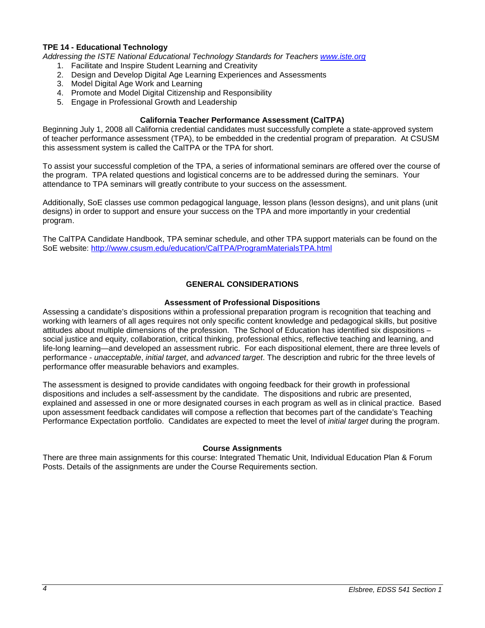#### **TPE 14 - Educational Technology**

*Addressing the ISTE National Educational Technology Standards for Teachers [www.iste.org](http://www.iste.org/)*

- 1. Facilitate and Inspire Student Learning and Creativity
- 2. Design and Develop Digital Age Learning Experiences and Assessments
- 3. Model Digital Age Work and Learning
- 4. Promote and Model Digital Citizenship and Responsibility
- 5. Engage in Professional Growth and Leadership

#### **California Teacher Performance Assessment (CalTPA)**

<span id="page-3-0"></span>Beginning July 1, 2008 all California credential candidates must successfully complete a state-approved system of teacher performance assessment (TPA), to be embedded in the credential program of preparation. At CSUSM this assessment system is called the CalTPA or the TPA for short.

To assist your successful completion of the TPA, a series of informational seminars are offered over the course of the program. TPA related questions and logistical concerns are to be addressed during the seminars. Your attendance to TPA seminars will greatly contribute to your success on the assessment.

Additionally, SoE classes use common pedagogical language, lesson plans (lesson designs), and unit plans (unit designs) in order to support and ensure your success on the TPA and more importantly in your credential program.

The CalTPA Candidate Handbook, TPA seminar schedule, and other TPA support materials can be found on the SoE website: <http://www.csusm.edu/education/CalTPA/ProgramMaterialsTPA.html>

#### **GENERAL CONSIDERATIONS**

#### **Assessment of Professional Dispositions**

<span id="page-3-2"></span><span id="page-3-1"></span>Assessing a candidate's dispositions within a professional preparation program is recognition that teaching and working with learners of all ages requires not only specific content knowledge and pedagogical skills, but positive attitudes about multiple dimensions of the profession. The School of Education has identified six dispositions – social justice and equity, collaboration, critical thinking, professional ethics, reflective teaching and learning, and life-long learning—and developed an assessment rubric. For each dispositional element, there are three levels of performance - *unacceptable*, *initial target*, and *advanced target*. The description and rubric for the three levels of performance offer measurable behaviors and examples.

The assessment is designed to provide candidates with ongoing feedback for their growth in professional dispositions and includes a self-assessment by the candidate. The dispositions and rubric are presented, explained and assessed in one or more designated courses in each program as well as in clinical practice. Based upon assessment feedback candidates will compose a reflection that becomes part of the candidate's Teaching Performance Expectation portfolio. Candidates are expected to meet the level of *initial target* during the program.

#### **Course Assignments**

<span id="page-3-4"></span><span id="page-3-3"></span>There are three main assignments for this course: Integrated Thematic Unit, Individual Education Plan & Forum Posts. Details of the assignments are under the Course Requirements section.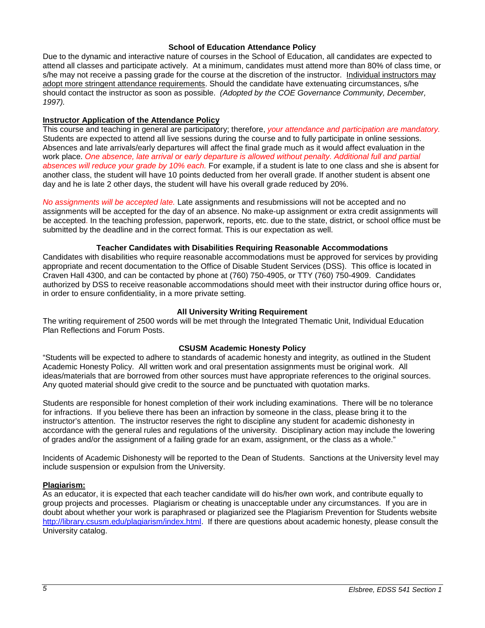#### **School of Education Attendance Policy**

Due to the dynamic and interactive nature of courses in the School of Education, all candidates are expected to attend all classes and participate actively. At a minimum, candidates must attend more than 80% of class time, or s/he may not receive a passing grade for the course at the discretion of the instructor. Individual instructors may adopt more stringent attendance requirements. Should the candidate have extenuating circumstances, s/he should contact the instructor as soon as possible. *(Adopted by the COE Governance Community, December, 1997).*

#### <span id="page-4-0"></span>**Instructor Application of the Attendance Policy**

This course and teaching in general are participatory; therefore, *your attendance and participation are mandatory.* Students are expected to attend all live sessions during the course and to fully participate in online sessions. Absences and late arrivals/early departures will affect the final grade much as it would affect evaluation in the work place. *One absence, late arrival or early departure is allowed without penalty. Additional full and partial absences will reduce your grade by 10% each.* For example, if a student is late to one class and she is absent for another class, the student will have 10 points deducted from her overall grade. If another student is absent one day and he is late 2 other days, the student will have his overall grade reduced by 20%.

*No assignments will be accepted late.* Late assignments and resubmissions will not be accepted and no assignments will be accepted for the day of an absence. No make-up assignment or extra credit assignments will be accepted. In the teaching profession, paperwork, reports, etc. due to the state, district, or school office must be submitted by the deadline and in the correct format. This is our expectation as well.

#### **Teacher Candidates with Disabilities Requiring Reasonable Accommodations**

<span id="page-4-1"></span>Candidates with disabilities who require reasonable accommodations must be approved for services by providing appropriate and recent documentation to the Office of Disable Student Services (DSS). This office is located in Craven Hall 4300, and can be contacted by phone at (760) 750-4905, or TTY (760) 750-4909. Candidates authorized by DSS to receive reasonable accommodations should meet with their instructor during office hours or, in order to ensure confidentiality, in a more private setting.

#### **All University Writing Requirement**

<span id="page-4-2"></span>The writing requirement of 2500 words will be met through the Integrated Thematic Unit, Individual Education Plan Reflections and Forum Posts.

#### **CSUSM Academic Honesty Policy**

<span id="page-4-3"></span>"Students will be expected to adhere to standards of academic honesty and integrity, as outlined in the Student Academic Honesty Policy. All written work and oral presentation assignments must be original work. All ideas/materials that are borrowed from other sources must have appropriate references to the original sources. Any quoted material should give credit to the source and be punctuated with quotation marks.

Students are responsible for honest completion of their work including examinations. There will be no tolerance for infractions. If you believe there has been an infraction by someone in the class, please bring it to the instructor's attention. The instructor reserves the right to discipline any student for academic dishonesty in accordance with the general rules and regulations of the university. Disciplinary action may include the lowering of grades and/or the assignment of a failing grade for an exam, assignment, or the class as a whole."

Incidents of Academic Dishonesty will be reported to the Dean of Students. Sanctions at the University level may include suspension or expulsion from the University.

#### <span id="page-4-4"></span>**Plagiarism:**

As an educator, it is expected that each teacher candidate will do his/her own work, and contribute equally to group projects and processes. Plagiarism or cheating is unacceptable under any circumstances. If you are in doubt about whether your work is paraphrased or plagiarized see the Plagiarism Prevention for Students website [http://library.csusm.edu/plagiarism/index.html.](http://library.csusm.edu/plagiarism/index.html) If there are questions about academic honesty, please consult the University catalog.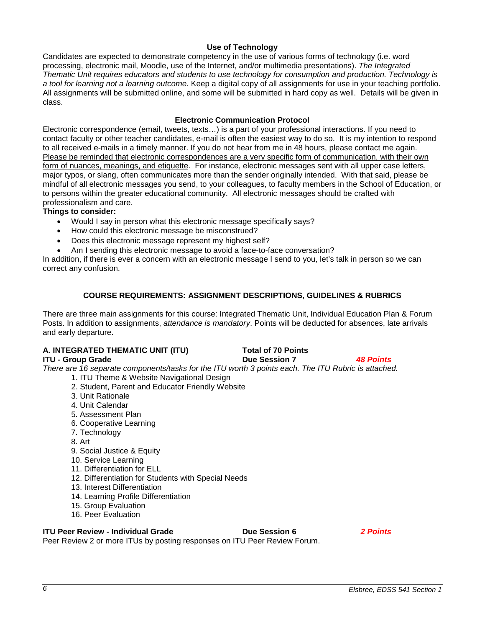### **Use of Technology**

<span id="page-5-0"></span>Candidates are expected to demonstrate competency in the use of various forms of technology (i.e. word processing, electronic mail, Moodle, use of the Internet, and/or multimedia presentations). *The Integrated Thematic Unit requires educators and students to use technology for consumption and production. Technology is a tool for learning not a learning outcome.* Keep a digital copy of all assignments for use in your teaching portfolio. All assignments will be submitted online, and some will be submitted in hard copy as well. Details will be given in class.

#### **Electronic Communication Protocol**

<span id="page-5-1"></span>Electronic correspondence (email, tweets, texts…) is a part of your professional interactions. If you need to contact faculty or other teacher candidates, e-mail is often the easiest way to do so. It is my intention to respond to all received e-mails in a timely manner. If you do not hear from me in 48 hours, please contact me again. Please be reminded that electronic correspondences are a very specific form of communication, with their own form of nuances, meanings, and etiquette. For instance, electronic messages sent with all upper case letters, major typos, or slang, often communicates more than the sender originally intended. With that said, please be mindful of all electronic messages you send, to your colleagues, to faculty members in the School of Education, or to persons within the greater educational community. All electronic messages should be crafted with professionalism and care.

#### **Things to consider:**

- Would I say in person what this electronic message specifically says?
- How could this electronic message be misconstrued?
- Does this electronic message represent my highest self?
- Am I sending this electronic message to avoid a face-to-face conversation?

In addition, if there is ever a concern with an electronic message I send to you, let's talk in person so we can correct any confusion.

#### **COURSE REQUIREMENTS: ASSIGNMENT DESCRIPTIONS, GUIDELINES & RUBRICS**

<span id="page-5-2"></span>There are three main assignments for this course: Integrated Thematic Unit, Individual Education Plan & Forum Posts. In addition to assignments, *attendance is mandatory*. Points will be deducted for absences, late arrivals and early departure.

# **A. INTEGRATED THEMATIC UNIT (ITU) Total of 70 Points**

**ITU - Group Grade Due Session 7** *48 Points There are 16 separate components/tasks for the ITU worth 3 points each. The ITU Rubric is attached.* 

- 1. ITU Theme & Website Navigational Design
- 2. Student, Parent and Educator Friendly Website
- 3. Unit Rationale
- 4. Unit Calendar
- 5. Assessment Plan
- 6. Cooperative Learning
- 7. Technology
- 8. Art
- 9. Social Justice & Equity
- 10. Service Learning
- 11. Differentiation for ELL
- 12. Differentiation for Students with Special Needs
- 13. Interest Differentiation
- 14. Learning Profile Differentiation
- 15. Group Evaluation
- 16. Peer Evaluation

### **ITU Peer Review - Individual Grade Due Session 6** *2 Points*

Peer Review 2 or more ITUs by posting responses on ITU Peer Review Forum.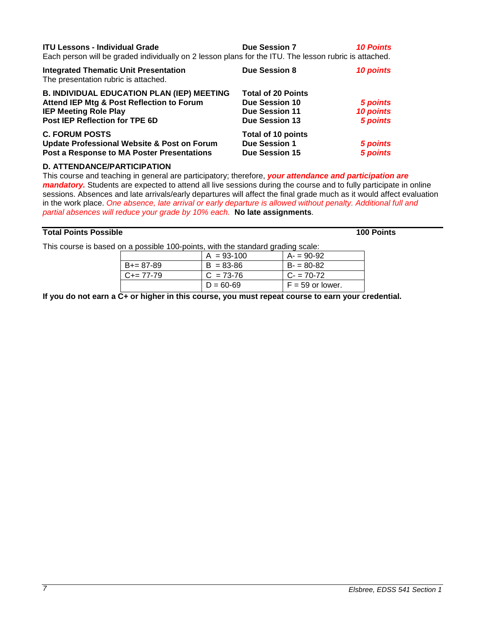| <b>ITU Lessons - Individual Grade</b>                                                                 | <b>Due Session 7</b> | <b>10 Points</b> |
|-------------------------------------------------------------------------------------------------------|----------------------|------------------|
| Faak waxaan will ka weedad individually am O leessa mlans fartka ITH. The leessa wybris is stteekad i |                      |                  |

Each person will be graded individually on 2 lesson plans for the ITU. The lesson rubric is attached.

| <b>Integrated Thematic Unit Presentation</b><br>The presentation rubric is attached. | <b>Due Session 8</b>      | <b>10 points</b> |
|--------------------------------------------------------------------------------------|---------------------------|------------------|
| <b>B. INDIVIDUAL EDUCATION PLAN (IEP) MEETING</b>                                    | <b>Total of 20 Points</b> |                  |
| Attend IEP Mtg & Post Reflection to Forum                                            | <b>Due Session 10</b>     | 5 points         |
| <b>IEP Meeting Role Play</b>                                                         | <b>Due Session 11</b>     | 10 points        |
| Post IEP Reflection for TPE 6D                                                       | <b>Due Session 13</b>     | 5 points         |
| <b>C. FORUM POSTS</b>                                                                | <b>Total of 10 points</b> |                  |
| <b>Update Professional Website &amp; Post on Forum</b>                               | <b>Due Session 1</b>      | 5 points         |
| Post a Response to MA Poster Presentations                                           | <b>Due Session 15</b>     | 5 points         |
|                                                                                      |                           |                  |

#### **D. ATTENDANCE/PARTICIPATION**

This course and teaching in general are participatory; therefore, *your attendance and participation are mandatory.* Students are expected to attend all live sessions during the course and to fully participate in online sessions. Absences and late arrivals/early departures will affect the final grade much as it would affect evaluation in the work place. *One absence, late arrival or early departure is allowed without penalty. Additional full and partial absences will reduce your grade by 10% each.* **No late assignments**.

#### **Total Points Possible 100 Points**

This course is based on a possible 100-points, with the standard grading scale:

| .                   |                |                    |  |
|---------------------|----------------|--------------------|--|
|                     | $A = 93 - 100$ | $A = 90-92$        |  |
| $B+=87-89$          | $B = 83 - 86$  | $B = 80-82$        |  |
| $C_{\pm} = 77 - 79$ | $C = 73-76$    | $C - 70-72$        |  |
|                     | $D = 60 - 69$  | $F = 59$ or lower. |  |

**If you do not earn a C+ or higher in this course, you must repeat course to earn your credential.**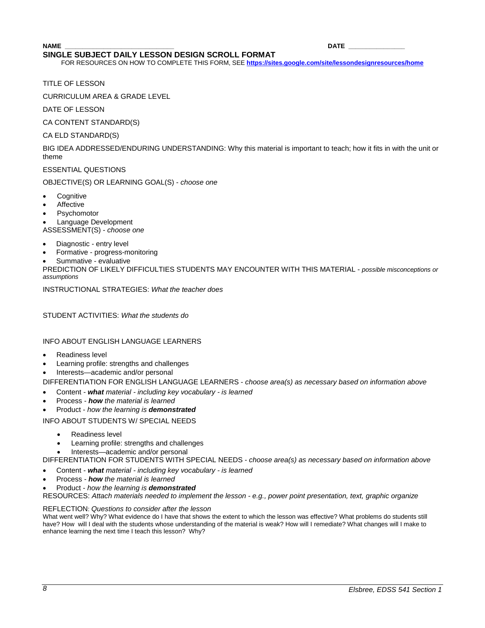#### **NAME \_\_\_\_\_\_\_\_\_\_\_\_\_\_\_\_\_\_\_\_\_\_\_\_\_\_\_\_\_\_\_ DATE \_\_\_\_\_\_\_\_\_\_\_\_\_\_\_\_ SINGLE SUBJECT DAILY LESSON DESIGN SCROLL FORMAT**

FOR RESOURCES ON HOW TO COMPLETE THIS FORM, SEE **<https://sites.google.com/site/lessondesignresources/home>**

TITLE OF LESSON

CURRICULUM AREA & GRADE LEVEL

DATE OF LESSON

CA CONTENT STANDARD(S)

CA ELD STANDARD(S)

BIG IDEA ADDRESSED/ENDURING UNDERSTANDING: Why this material is important to teach; how it fits in with the unit or theme

ESSENTIAL QUESTIONS

OBJECTIVE(S) OR LEARNING GOAL(S) - *choose one*

- **Cognitive**
- **Affective**
- **Psychomotor**

• Language Development ASSESSMENT(S) - *choose one*

- Diagnostic entry level
- Formative progress-monitoring
- Summative evaluative

PREDICTION OF LIKELY DIFFICULTIES STUDENTS MAY ENCOUNTER WITH THIS MATERIAL - *possible misconceptions or assumptions*

INSTRUCTIONAL STRATEGIES: *What the teacher does* 

STUDENT ACTIVITIES: *What the students do*

INFO ABOUT ENGLISH LANGUAGE LEARNERS

- Readiness level
- Learning profile: strengths and challenges
- Interests—academic and/or personal

DIFFERENTIATION FOR ENGLISH LANGUAGE LEARNERS - *choose area(s) as necessary based on information above*

- Content *what material - including key vocabulary - is learned*
- Process *how the material is learned*
- Product *how the learning is demonstrated*

INFO ABOUT STUDENTS W/ SPECIAL NEEDS

- Readiness level
- Learning profile: strengths and challenges
- Interests—academic and/or personal

DIFFERENTIATION FOR STUDENTS WITH SPECIAL NEEDS *- choose area(s) as necessary based on information above*

- Content *what material - including key vocabulary - is learned*
- Process *how the material is learned*
- Product *how the learning is demonstrated*

RESOURCES: *Attach materials needed to implement the lesson - e.g., power point presentation, text, graphic organize*

#### REFLECTION: *Questions to consider after the lesson*

What went well? Why? What evidence do I have that shows the extent to which the lesson was effective? What problems do students still have? How will I deal with the students whose understanding of the material is weak? How will I remediate? What changes will I make to enhance learning the next time I teach this lesson? Why?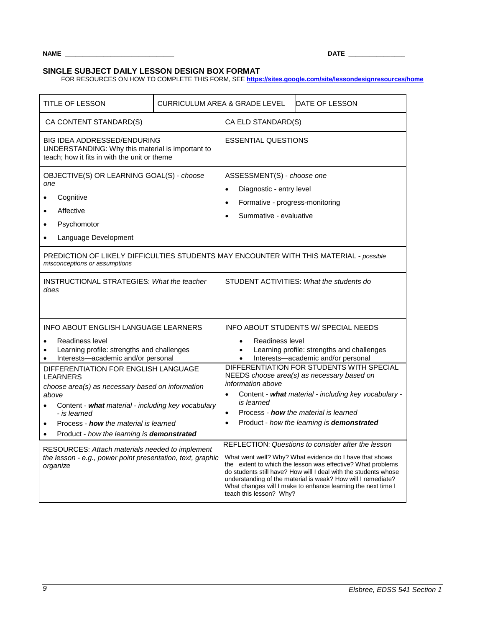**NAME \_\_\_\_\_\_\_\_\_\_\_\_\_\_\_\_\_\_\_\_\_\_\_\_\_\_\_\_\_\_\_ DATE \_\_\_\_\_\_\_\_\_\_\_\_\_\_\_\_**

# **SINGLE SUBJECT DAILY LESSON DESIGN BOX FORMAT**

FOR RESOURCES ON HOW TO COMPLETE THIS FORM, SEE **<https://sites.google.com/site/lessondesignresources/home>**

| <b>TITLE OF LESSON</b>                                                                                                                                                                                                                                                                                                                                                                                                             | <b>CURRICULUM AREA &amp; GRADE LEVEL</b> |                                                                                                                                                                                                                                                                                                                                                                                                                                                                                                                                                                                                                                                                                                                          | DATE OF LESSON                                                                                                           |
|------------------------------------------------------------------------------------------------------------------------------------------------------------------------------------------------------------------------------------------------------------------------------------------------------------------------------------------------------------------------------------------------------------------------------------|------------------------------------------|--------------------------------------------------------------------------------------------------------------------------------------------------------------------------------------------------------------------------------------------------------------------------------------------------------------------------------------------------------------------------------------------------------------------------------------------------------------------------------------------------------------------------------------------------------------------------------------------------------------------------------------------------------------------------------------------------------------------------|--------------------------------------------------------------------------------------------------------------------------|
| CA CONTENT STANDARD(S)                                                                                                                                                                                                                                                                                                                                                                                                             |                                          | CA ELD STANDARD(S)                                                                                                                                                                                                                                                                                                                                                                                                                                                                                                                                                                                                                                                                                                       |                                                                                                                          |
| BIG IDEA ADDRESSED/ENDURING<br>UNDERSTANDING: Why this material is important to<br>teach; how it fits in with the unit or theme                                                                                                                                                                                                                                                                                                    |                                          | <b>ESSENTIAL QUESTIONS</b>                                                                                                                                                                                                                                                                                                                                                                                                                                                                                                                                                                                                                                                                                               |                                                                                                                          |
| OBJECTIVE(S) OR LEARNING GOAL(S) - choose<br>one<br>Cognitive<br>Affective<br>$\bullet$<br>Psychomotor<br>Language Development                                                                                                                                                                                                                                                                                                     |                                          | ASSESSMENT(S) - choose one<br>Diagnostic - entry level<br>$\bullet$<br>Formative - progress-monitoring<br>$\bullet$<br>Summative - evaluative                                                                                                                                                                                                                                                                                                                                                                                                                                                                                                                                                                            |                                                                                                                          |
| PREDICTION OF LIKELY DIFFICULTIES STUDENTS MAY ENCOUNTER WITH THIS MATERIAL - possible<br>misconceptions or assumptions                                                                                                                                                                                                                                                                                                            |                                          |                                                                                                                                                                                                                                                                                                                                                                                                                                                                                                                                                                                                                                                                                                                          |                                                                                                                          |
| <b>INSTRUCTIONAL STRATEGIES: What the teacher</b><br>does                                                                                                                                                                                                                                                                                                                                                                          |                                          |                                                                                                                                                                                                                                                                                                                                                                                                                                                                                                                                                                                                                                                                                                                          | STUDENT ACTIVITIES: What the students do                                                                                 |
| <b>INFO ABOUT ENGLISH LANGUAGE LEARNERS</b><br>Readiness level<br>Learning profile: strengths and challenges<br>Interests-academic and/or personal                                                                                                                                                                                                                                                                                 |                                          | Readiness level<br>$\bullet$                                                                                                                                                                                                                                                                                                                                                                                                                                                                                                                                                                                                                                                                                             | INFO ABOUT STUDENTS W/ SPECIAL NEEDS<br>Learning profile: strengths and challenges<br>Interests-academic and/or personal |
| DIFFERENTIATION FOR ENGLISH LANGUAGE<br><b>LEARNERS</b><br>choose area(s) as necessary based on information<br>above<br>Content - what material - including key vocabulary<br>- is learned<br>Process - <b>how</b> the material is learned<br>$\bullet$<br>Product - how the learning is demonstrated<br>RESOURCES: Attach materials needed to implement<br>the lesson - e.g., power point presentation, text, graphic<br>organize |                                          | DIFFERENTIATION FOR STUDENTS WITH SPECIAL<br>NEEDS choose area(s) as necessary based on<br>information above<br>Content - what material - including key vocabulary -<br>is learned<br>Process - <b>how</b> the material is learned<br>$\bullet$<br>Product - how the learning is demonstrated<br>$\bullet$<br>REFLECTION: Questions to consider after the lesson<br>What went well? Why? What evidence do I have that shows<br>the extent to which the lesson was effective? What problems<br>do students still have? How will I deal with the students whose<br>understanding of the material is weak? How will I remediate?<br>What changes will I make to enhance learning the next time I<br>teach this lesson? Why? |                                                                                                                          |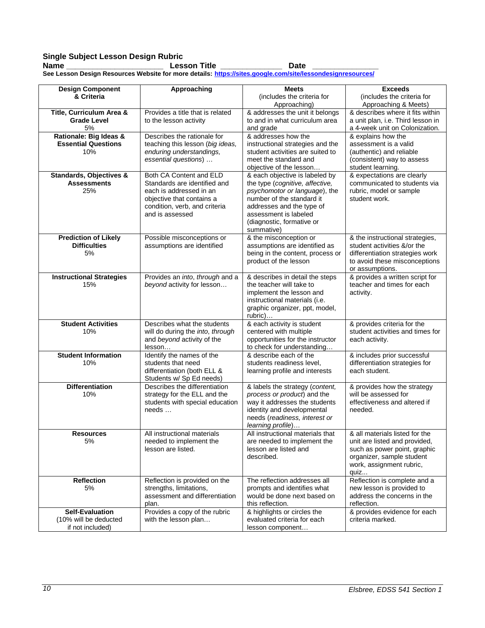# **Single Subject Lesson Design Rubric**

**Name \_\_\_\_\_\_\_\_\_\_\_\_\_\_\_\_\_\_\_\_\_\_ Lesson Title \_\_\_\_\_\_\_\_\_\_\_\_\_\_ Date \_\_\_\_\_\_\_\_\_\_\_\_\_\_\_ See Lesson Design Resources Website for more details: <https://sites.google.com/site/lessondesignresources/>**

| <b>Design Component</b>                         | <b>Approaching</b>                               | <b>Meets</b>                                                | <b>Exceeds</b>                                           |
|-------------------------------------------------|--------------------------------------------------|-------------------------------------------------------------|----------------------------------------------------------|
| & Criteria                                      |                                                  | (includes the criteria for                                  | (includes the criteria for                               |
|                                                 | Provides a title that is related                 | Approaching)<br>& addresses the unit it belongs             | Approaching & Meets)<br>& describes where it fits within |
| Title, Curriculum Area &<br><b>Grade Level</b>  | to the lesson activity                           | to and in what curriculum area                              | a unit plan, i.e. Third lesson in                        |
| 5%                                              |                                                  | and grade                                                   | a 4-week unit on Colonization.                           |
| Rationale: Big Ideas &                          | Describes the rationale for                      | & addresses how the                                         | & explains how the                                       |
| <b>Essential Questions</b>                      | teaching this lesson (big ideas,                 | instructional strategies and the                            | assessment is a valid                                    |
| 10%                                             | enduring understandings,                         | student activities are suited to                            | (authentic) and reliable                                 |
|                                                 | essential questions)                             | meet the standard and                                       | (consistent) way to assess                               |
|                                                 |                                                  | objective of the lesson                                     | student learning.                                        |
| Standards, Objectives &                         | Both CA Content and ELD                          | & each objective is labeled by                              | & expectations are clearly                               |
| <b>Assessments</b>                              | Standards are identified and                     | the type (cognitive, affective,                             | communicated to students via                             |
| 25%                                             | each is addressed in an                          | psychomotor or language), the                               | rubric, model or sample                                  |
|                                                 | objective that contains a                        | number of the standard it                                   | student work.                                            |
|                                                 | condition, verb, and criteria                    | addresses and the type of                                   |                                                          |
|                                                 | and is assessed                                  | assessment is labeled                                       |                                                          |
|                                                 |                                                  | (diagnostic, formative or<br>summative)                     |                                                          |
| <b>Prediction of Likely</b>                     | Possible misconceptions or                       | & the misconception or                                      | & the instructional strategies,                          |
| <b>Difficulties</b>                             | assumptions are identified                       | assumptions are identified as                               | student activities &/or the                              |
| 5%                                              |                                                  | being in the content, process or                            | differentiation strategies work                          |
|                                                 |                                                  | product of the lesson                                       | to avoid these misconceptions                            |
|                                                 |                                                  |                                                             | or assumptions.                                          |
| <b>Instructional Strategies</b>                 | Provides an into, through and a                  | & describes in detail the steps                             | & provides a written script for                          |
| 15%                                             | beyond activity for lesson                       | the teacher will take to                                    | teacher and times for each                               |
|                                                 |                                                  | implement the lesson and                                    | activity.                                                |
|                                                 |                                                  | instructional materials (i.e.                               |                                                          |
|                                                 |                                                  | graphic organizer, ppt, model,                              |                                                          |
| <b>Student Activities</b>                       | Describes what the students                      | rubric)<br>& each activity is student                       | & provides criteria for the                              |
| 10%                                             | will do during the into, through                 | centered with multiple                                      | student activities and times for                         |
|                                                 | and beyond activity of the                       | opportunities for the instructor                            | each activity.                                           |
|                                                 | lesson                                           | to check for understanding                                  |                                                          |
| <b>Student Information</b>                      | Identify the names of the                        | & describe each of the                                      | & includes prior successful                              |
| 10%                                             | students that need                               | students readiness level,                                   | differentiation strategies for                           |
|                                                 | differentiation (both ELL &                      | learning profile and interests                              | each student.                                            |
|                                                 | Students w/ Sp Ed needs)                         |                                                             |                                                          |
| <b>Differentiation</b>                          | Describes the differentiation                    | & labels the strategy (content,                             | & provides how the strategy                              |
| 10%                                             | strategy for the ELL and the                     | process or product) and the                                 | will be assessed for                                     |
|                                                 | students with special education<br>$needs \dots$ | way it addresses the students<br>identity and developmental | effectiveness and altered if<br>needed.                  |
|                                                 |                                                  | needs (readiness, interest or                               |                                                          |
|                                                 |                                                  | learning profile)                                           |                                                          |
| Resources                                       | All instructional materials                      | All instructional materials that                            | & all materials listed for the                           |
| 5%                                              | needed to implement the                          | are needed to implement the                                 | unit are listed and provided,                            |
|                                                 | lesson are listed.                               | lesson are listed and                                       | such as power point, graphic                             |
|                                                 |                                                  | described.                                                  | organizer, sample student                                |
|                                                 |                                                  |                                                             | work, assignment rubric,                                 |
|                                                 |                                                  |                                                             | quiz                                                     |
| <b>Reflection</b>                               | Reflection is provided on the                    | The reflection addresses all                                | Reflection is complete and a                             |
| 5%                                              | strengths, limitations,                          | prompts and identifies what                                 | new lesson is provided to                                |
|                                                 | assessment and differentiation                   | would be done next based on                                 | address the concerns in the                              |
|                                                 | plan.                                            | this reflection.                                            | reflection.                                              |
| <b>Self-Evaluation</b><br>(10% will be deducted | Provides a copy of the rubric                    | & highlights or circles the<br>evaluated criteria for each  | & provides evidence for each<br>criteria marked.         |
| if not included)                                | with the lesson plan                             | lesson component                                            |                                                          |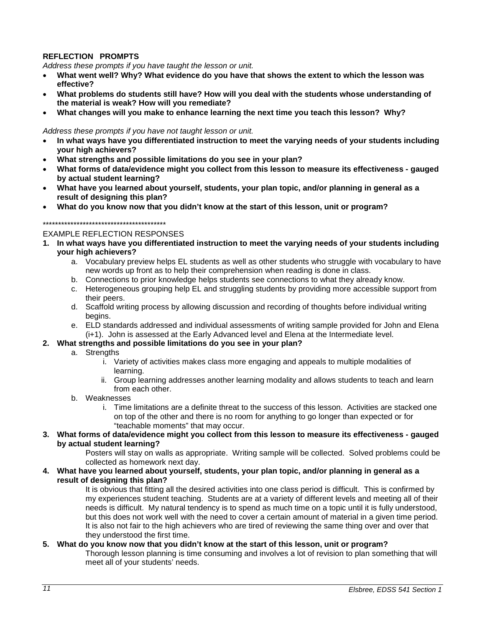# **REFLECTION PROMPTS**

*Address these prompts if you have taught the lesson or unit.* 

- **What went well? Why? What evidence do you have that shows the extent to which the lesson was effective?**
- **What problems do students still have? How will you deal with the students whose understanding of the material is weak? How will you remediate?**
- **What changes will you make to enhance learning the next time you teach this lesson? Why?**

#### *Address these prompts if you have not taught lesson or unit.*

- **In what ways have you differentiated instruction to meet the varying needs of your students including your high achievers?**
- **What strengths and possible limitations do you see in your plan?**
- **What forms of data/evidence might you collect from this lesson to measure its effectiveness - gauged by actual student learning?**
- **What have you learned about yourself, students, your plan topic, and/or planning in general as a result of designing this plan?**
- **What do you know now that you didn't know at the start of this lesson, unit or program?**

#### \*\*\*\*\*\*\*\*\*\*\*\*\*\*\*\*\*\*\*\*\*\*\*\*\*\*\*\*\*\*\*\*\*\*\*\*\*\*\*\*

#### EXAMPLE REFLECTION RESPONSES

- **1. In what ways have you differentiated instruction to meet the varying needs of your students including your high achievers?**
	- a. Vocabulary preview helps EL students as well as other students who struggle with vocabulary to have new words up front as to help their comprehension when reading is done in class.
	- b. Connections to prior knowledge helps students see connections to what they already know.
	- c. Heterogeneous grouping help EL and struggling students by providing more accessible support from their peers.
	- d. Scaffold writing process by allowing discussion and recording of thoughts before individual writing begins.
	- e. ELD standards addressed and individual assessments of writing sample provided for John and Elena (i+1). John is assessed at the Early Advanced level and Elena at the Intermediate level.

#### **2. What strengths and possible limitations do you see in your plan?**

- a. Strengths
	- i. Variety of activities makes class more engaging and appeals to multiple modalities of learning.
	- ii. Group learning addresses another learning modality and allows students to teach and learn from each other.
- b. Weaknesses
	- i. Time limitations are a definite threat to the success of this lesson. Activities are stacked one on top of the other and there is no room for anything to go longer than expected or for "teachable moments" that may occur.
- **3. What forms of data/evidence might you collect from this lesson to measure its effectiveness - gauged by actual student learning?**

Posters will stay on walls as appropriate. Writing sample will be collected. Solved problems could be collected as homework next day.

**4. What have you learned about yourself, students, your plan topic, and/or planning in general as a result of designing this plan?** 

It is obvious that fitting all the desired activities into one class period is difficult. This is confirmed by my experiences student teaching. Students are at a variety of different levels and meeting all of their needs is difficult. My natural tendency is to spend as much time on a topic until it is fully understood, but this does not work well with the need to cover a certain amount of material in a given time period. It is also not fair to the high achievers who are tired of reviewing the same thing over and over that they understood the first time.

#### **5. What do you know now that you didn't know at the start of this lesson, unit or program?**

Thorough lesson planning is time consuming and involves a lot of revision to plan something that will meet all of your students' needs.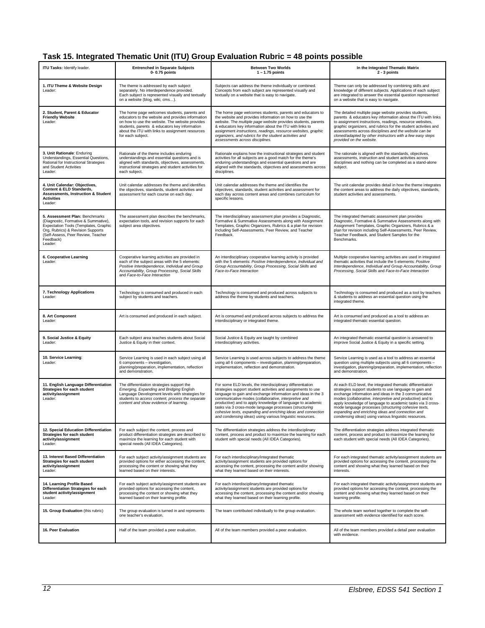# **Task 15. Integrated Thematic Unit (ITU) Group Evaluation Rubric = 48 points possible**

| <b>ITU Tasks: Identify leader.</b>                                                                                                                                                                                 | <b>Entrenched in Separate Subjects</b><br>0-0.75 points                                                                                                                                                                                                                        | <b>Between Two Worlds</b><br>$1 - 1.75$ points                                                                                                                                                                                                                                                                                                                                                                                                                                                          | In the Integrated Thematic Matrix<br>2 - 3 points                                                                                                                                                                                                                                                                                                                                                                                                                              |
|--------------------------------------------------------------------------------------------------------------------------------------------------------------------------------------------------------------------|--------------------------------------------------------------------------------------------------------------------------------------------------------------------------------------------------------------------------------------------------------------------------------|---------------------------------------------------------------------------------------------------------------------------------------------------------------------------------------------------------------------------------------------------------------------------------------------------------------------------------------------------------------------------------------------------------------------------------------------------------------------------------------------------------|--------------------------------------------------------------------------------------------------------------------------------------------------------------------------------------------------------------------------------------------------------------------------------------------------------------------------------------------------------------------------------------------------------------------------------------------------------------------------------|
| 1. ITU Theme & Website Design<br>Leader:                                                                                                                                                                           | The theme is addressed by each subject<br>separately. No interdependence provided.<br>Each subject is represented visually and textually<br>on a website (blog, wiki, cms).                                                                                                    | Subjects can address the theme individually or combined.<br>Concepts from each subject are represented visually and<br>textually on a website that is easy to navigate.                                                                                                                                                                                                                                                                                                                                 | Theme can only be addressed by combining skills and<br>knowledge of different subjects. Applications of each subject<br>are integrated to answer the essential question represented<br>on a website that is easy to navigate.                                                                                                                                                                                                                                                  |
| 2. Student, Parent & Educator<br><b>Friendly Website</b><br>Leader:                                                                                                                                                | The home page welcomes students, parents and<br>educators to the website and provides information<br>on how to use the website. The website provides<br>students, parents & educators key information<br>about the ITU with links to assignment resources<br>for each subject. | The home page welcomes students, parents and educators to<br>the website and provides information on how to use the<br>website. The multiple page website provides students, parents<br>& educators key information about the ITU with links to<br>assignment instructions, readings, resource websites, graphic<br>organizers, and rubrics for the student activities and<br>assessments across disciplines.                                                                                           | The detailed multiple page website provides students,<br>parents & educators key information about the ITU with links<br>to assignment instructions, readings, resource websites,<br>graphic organizers, and rubrics for the student activities and<br>assessments across disciplines and the website can be<br>cloned/adapted by other instructors with a few easy steps<br>provided on the website.                                                                          |
| 3. Unit Rationale: Enduring<br>Understandings, Essential Questions,<br>Rational for Instructional Strategies<br>and Student Activities<br>Leader:                                                                  | Rationale of the theme includes enduring<br>understandings and essential questions and is<br>aligned with standards, objectives, assessments,<br>instructional strategies and student activities for<br>each subject.                                                          | Rationale explains how the instructional strategies and student<br>activities for all subjects are a good match for the theme's<br>enduring understandings and essential questions and are<br>aligned with the standards, objectives and assessments across<br>disciplines.                                                                                                                                                                                                                             | The rationale is aligned with the standards, objectives,<br>assessments, instruction and student activities across<br>disciplines and nothing can be completed as a stand-alone<br>subject.                                                                                                                                                                                                                                                                                    |
| 4. Unit Calendar: Objectives,<br>Content & ELD Standards,<br><b>Assessments, Instruction &amp; Student</b><br><b>Activities</b><br>Leader:                                                                         | Unit calendar addresses the theme and identifies<br>the objectives, standards, student activities and<br>assessment for each course on each day.                                                                                                                               | Unit calendar addresses the theme and identifies the<br>objectives, standards, student activities and assessment for<br>each day across content areas and combines curriculum for<br>specific lessons.                                                                                                                                                                                                                                                                                                  | The unit calendar provides detail in how the theme integrates<br>the content areas to address the daily objectives, standards,<br>student activities and assessments.                                                                                                                                                                                                                                                                                                          |
| 5. Assessment Plan: Benchmarks<br>(Diagnostic, Formative & Summative),<br>Expectation Tools (Templates, Graphic<br>Org, Rubrics) & Revision Supports<br>(Self-Assess, Peer Review, Teacher<br>Feedback)<br>Leader: | The assessment plan describes the benchmarks,<br>expectation tools, and revision supports for each<br>subject area objectives.                                                                                                                                                 | The interdisciplinary assessment plan provides a Diagnostic,<br>Formative & Summative Assessments along with Assignment<br>Templates, Graphic Organizers, Rubrics & a plan for revision<br>including Self-Assessments, Peer Review, and Teacher<br>Feedback.                                                                                                                                                                                                                                            | The integrated thematic assessment plan provides<br>Diagnostic, Formative & Summative Assessments along with<br>Assignment Templates, Graphic Organizers, Rubrics & a<br>plan for revision including Self-Assessments, Peer Review,<br>Teacher Feedback, and Student Samples for the<br>Benchmarks.                                                                                                                                                                            |
| 6. Cooperative Learning<br>Leader:                                                                                                                                                                                 | Cooperative learning activities are provided in<br>each of the subject areas with the 5 elements:<br>Positive Interdependence, Individual and Group<br>Accountability, Group Processing, Social Skills<br>and Face-to-Face Interaction                                         | An interdisciplinary cooperative learning activity is provided<br>with the 5 elements: Positive Interdependence, Individual and<br>Group Accountability, Group Processing, Social Skills and<br>Face-to-Face Interaction                                                                                                                                                                                                                                                                                | Multiple cooperative learning activities are used in integrated<br>thematic activities that include the 5 elements: Positive<br>Interdependence, Individual and Group Accountability, Group<br>Processing, Social Skills and Face-to-Face Interaction                                                                                                                                                                                                                          |
| 7. Technology Applications<br>Leader:                                                                                                                                                                              | Technology is consumed and produced in each<br>subject by students and teachers.                                                                                                                                                                                               | Technology is consumed and produced across subjects to<br>address the theme by students and teachers.                                                                                                                                                                                                                                                                                                                                                                                                   | Technology is consumed and produced as a tool by teachers<br>& students to address an essential question using the<br>integrated theme.                                                                                                                                                                                                                                                                                                                                        |
| 8. Art Component<br>Leader:                                                                                                                                                                                        | Art is consumed and produced in each subject.                                                                                                                                                                                                                                  | Art is consumed and produced across subjects to address the<br>interdisciplinary or integrated theme.                                                                                                                                                                                                                                                                                                                                                                                                   | Art is consumed and produced as a tool to address an<br>integrated thematic essential question.                                                                                                                                                                                                                                                                                                                                                                                |
| 9. Social Justice & Equity<br>Leader:                                                                                                                                                                              | Each subject area teaches students about Social<br>Justice & Equity in their context.                                                                                                                                                                                          | Social Justice & Equity are taught by combined<br>interdisciplinary activities.                                                                                                                                                                                                                                                                                                                                                                                                                         | An integrated thematic essential question is answered to<br>improve Social Justice & Equity in a specific setting.                                                                                                                                                                                                                                                                                                                                                             |
| 10. Service Learning:<br>Leader:                                                                                                                                                                                   | Service Learning is used in each subject using all<br>6 components - investigation,<br>planning/preparation, implementation, reflection<br>and demonstration.                                                                                                                  | Service Learning is used across subjects to address the theme<br>using all 6 components - investigation, planning/preparation,<br>implementation, reflection and demonstration.                                                                                                                                                                                                                                                                                                                         | Service Learning is used as a tool to address an essential<br>question using multiple subjects using all 6 components -<br>investigation, planning/preparation, implementation, reflection<br>and demonstration.                                                                                                                                                                                                                                                               |
| 11. English Language Differentiation<br>Strategies for each student<br>activity/assignment<br>Leader:                                                                                                              | The differentiation strategies support the<br>Emerging, Expanding and Bridging English<br>Language Development levels with strategies for<br>students to access content, process the separate<br>content and show evidence of learning.                                        | For some ELD levels, the interdisciplinary differentiation<br>strategies support student activities and assignments to use<br>language to gain and exchange information and ideas in the 3<br>communicative modes (collaborative, interpretive and<br>productive) and to apply knowledge of language to academic<br>tasks via 3 cross-mode language processes (structuring<br>cohesive texts, expanding and enriching ideas and connection<br>and condensing ideas) using various linguistic resources. | At each ELD level, the integrated thematic differentiation<br>strategies support students to use language to gain and<br>exchange information and ideas in the 3 communicative<br>modes (collaborative, interpretive and productive) and to<br>apply knowledge of language to academic tasks via 3 cross-<br>mode language processes (structuring cohesive texts,<br>expanding and enriching ideas and connection and<br>condensing ideas) using various linguistic resources. |
| 12. Special Education Differentiation<br>Strategies for each student<br>activity/assignment<br>Leader:                                                                                                             | For each subject the content, process and<br>product differentiation strategies are described to<br>maximize the learning for each student with<br>special needs (All IDEA Categories).                                                                                        | The differentiation strategies address the interdisciplinary<br>content, process and product to maximize the learning for each<br>student with special needs (All IDEA Categories).                                                                                                                                                                                                                                                                                                                     | The differentiation strategies address integrated thematic<br>content, process and product to maximize the learning for<br>each student with special needs (All IDEA Categories).                                                                                                                                                                                                                                                                                              |
| 13. Interest Based Differentiation<br>Strategies for each student<br>activity/assignment<br>Leader:                                                                                                                | For each subject activity/assignment students are<br>provided options for either accessing the content,<br>processing the content or showing what they<br>learned based on their interests.                                                                                    | For each interdisciplinary/integrated thematic<br>activity/assignment students are provided options for<br>accessing the content, processing the content and/or showing<br>what they learned based on their interests.                                                                                                                                                                                                                                                                                  | For each integrated thematic activity/assignment students are<br>provided options for accessing the content, processing the<br>content and showing what they learned based on their<br>interests.                                                                                                                                                                                                                                                                              |
| 14. Learning Profile Based<br>Differentiation Strategies for each<br>student activity/assignment<br>Leader:                                                                                                        | For each subject activity/assignment students are<br>provided options for accessing the content,<br>processing the content or showing what they<br>learned based on their learning profile.                                                                                    | For each interdisciplinary/integrated thematic<br>activity/assignment students are provided options for<br>accessing the content, processing the content and/or showing<br>what they learned based on their learning profile.                                                                                                                                                                                                                                                                           | For each integrated thematic activity/assignment students are<br>provided options for accessing the content, processing the<br>content and showing what they learned based on their<br>learning profile.                                                                                                                                                                                                                                                                       |
| 15. Group Evaluation (this rubric)                                                                                                                                                                                 | The group evaluation is turned in and represents<br>one teacher's evaluation.                                                                                                                                                                                                  | The team contributed individually to the group evaluation.                                                                                                                                                                                                                                                                                                                                                                                                                                              | The whole team worked together to complete the self-<br>assessment with evidence identified for each score.                                                                                                                                                                                                                                                                                                                                                                    |
| 16. Peer Evaluation                                                                                                                                                                                                | Half of the team provided a peer evaluation.                                                                                                                                                                                                                                   | All of the team members provided a peer evaluation.                                                                                                                                                                                                                                                                                                                                                                                                                                                     | All of the team members provided a detail peer evaluation<br>with evidence.                                                                                                                                                                                                                                                                                                                                                                                                    |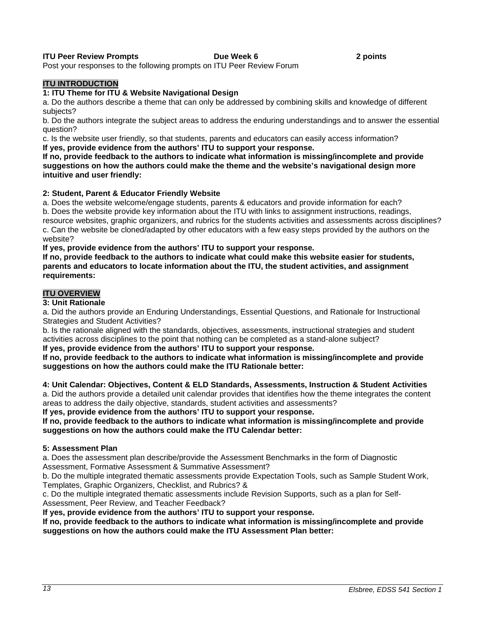#### **ITU Peer Review Prompts Community Community Community Prompts Community Proportional Proportional Proportion**

Post your responses to the following prompts on ITU Peer Review Forum

#### **ITU INTRODUCTION**

#### **1: ITU Theme for ITU & Website Navigational Design**

a. Do the authors describe a theme that can only be addressed by combining skills and knowledge of different subjects?

b. Do the authors integrate the subject areas to address the enduring understandings and to answer the essential question?

c. Is the website user friendly, so that students, parents and educators can easily access information? **If yes, provide evidence from the authors' ITU to support your response.**

**If no, provide feedback to the authors to indicate what information is missing/incomplete and provide suggestions on how the authors could make the theme and the website's navigational design more intuitive and user friendly:** 

#### **2: Student, Parent & Educator Friendly Website**

a. Does the website welcome/engage students, parents & educators and provide information for each? b. Does the website provide key information about the ITU with links to assignment instructions, readings, resource websites, graphic organizers, and rubrics for the students activities and assessments across disciplines? c. Can the website be cloned/adapted by other educators with a few easy steps provided by the authors on the website?

**If yes, provide evidence from the authors' ITU to support your response.**

**If no, provide feedback to the authors to indicate what could make this website easier for students, parents and educators to locate information about the ITU, the student activities, and assignment requirements:** 

#### **ITU OVERVIEW**

#### **3: Unit Rationale**

a. Did the authors provide an Enduring Understandings, Essential Questions, and Rationale for Instructional Strategies and Student Activities?

b. Is the rationale aligned with the standards, objectives, assessments, instructional strategies and student activities across disciplines to the point that nothing can be completed as a stand-alone subject?

**If yes, provide evidence from the authors' ITU to support your response.**

**If no, provide feedback to the authors to indicate what information is missing/incomplete and provide suggestions on how the authors could make the ITU Rationale better:** 

**4: Unit Calendar: Objectives, Content & ELD Standards, Assessments, Instruction & Student Activities** a. Did the authors provide a detailed unit calendar provides that identifies how the theme integrates the content areas to address the daily objective, standards, student activities and assessments?

**If yes, provide evidence from the authors' ITU to support your response.**

**If no, provide feedback to the authors to indicate what information is missing/incomplete and provide suggestions on how the authors could make the ITU Calendar better:** 

#### **5: Assessment Plan**

a. Does the assessment plan describe/provide the Assessment Benchmarks in the form of Diagnostic Assessment, Formative Assessment & Summative Assessment?

b. Do the multiple integrated thematic assessments provide Expectation Tools, such as Sample Student Work, Templates, Graphic Organizers, Checklist, and Rubrics? &

c. Do the multiple integrated thematic assessments include Revision Supports, such as a plan for Self-Assessment, Peer Review, and Teacher Feedback?

**If yes, provide evidence from the authors' ITU to support your response.**

**If no, provide feedback to the authors to indicate what information is missing/incomplete and provide suggestions on how the authors could make the ITU Assessment Plan better:**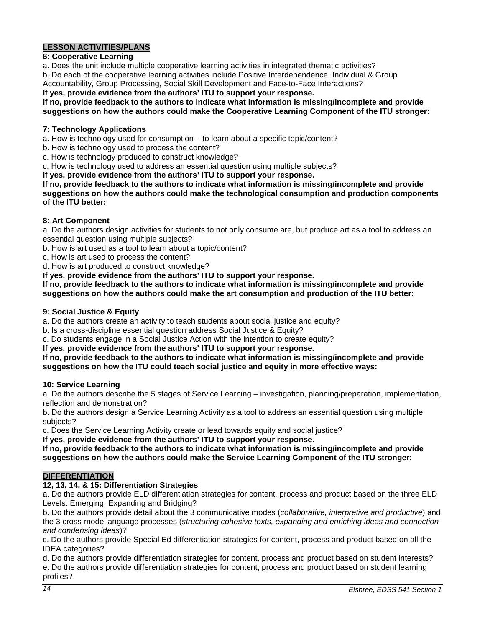# **LESSON ACTIVITIES/PLANS**

#### **6: Cooperative Learning**

a. Does the unit include multiple cooperative learning activities in integrated thematic activities?

b. Do each of the cooperative learning activities include Positive Interdependence, Individual & Group Accountability, Group Processing, Social Skill Development and Face-to-Face Interactions?

**If yes, provide evidence from the authors' ITU to support your response.**

# **If no, provide feedback to the authors to indicate what information is missing/incomplete and provide**

**suggestions on how the authors could make the Cooperative Learning Component of the ITU stronger:** 

#### **7: Technology Applications**

- a. How is technology used for consumption to learn about a specific topic/content?
- b. How is technology used to process the content?
- c. How is technology produced to construct knowledge?
- c. How is technology used to address an essential question using multiple subjects?

**If yes, provide evidence from the authors' ITU to support your response.**

**If no, provide feedback to the authors to indicate what information is missing/incomplete and provide suggestions on how the authors could make the technological consumption and production components of the ITU better:** 

#### **8: Art Component**

a. Do the authors design activities for students to not only consume are, but produce art as a tool to address an essential question using multiple subjects?

b. How is art used as a tool to learn about a topic/content?

c. How is art used to process the content?

d. How is art produced to construct knowledge?

**If yes, provide evidence from the authors' ITU to support your response.**

**If no, provide feedback to the authors to indicate what information is missing/incomplete and provide suggestions on how the authors could make the art consumption and production of the ITU better:** 

#### **9: Social Justice & Equity**

a. Do the authors create an activity to teach students about social justice and equity?

b. Is a cross-discipline essential question address Social Justice & Equity?

c. Do students engage in a Social Justice Action with the intention to create equity?

**If yes, provide evidence from the authors' ITU to support your response.**

#### **If no, provide feedback to the authors to indicate what information is missing/incomplete and provide suggestions on how the ITU could teach social justice and equity in more effective ways:**

#### **10: Service Learning**

a. Do the authors describe the 5 stages of Service Learning – investigation, planning/preparation, implementation, reflection and demonstration?

b. Do the authors design a Service Learning Activity as a tool to address an essential question using multiple subjects?

c. Does the Service Learning Activity create or lead towards equity and social justice?

**If yes, provide evidence from the authors' ITU to support your response.**

**If no, provide feedback to the authors to indicate what information is missing/incomplete and provide suggestions on how the authors could make the Service Learning Component of the ITU stronger:** 

### **DIFFERENTIATION**

### **12, 13, 14, & 15: Differentiation Strategies**

a. Do the authors provide ELD differentiation strategies for content, process and product based on the three ELD Levels: Emerging, Expanding and Bridging?

b. Do the authors provide detail about the 3 communicative modes (*collaborative, interpretive and productive*) and the 3 cross-mode language processes (*structuring cohesive texts, expanding and enriching ideas and connection and condensing ideas*)?

c. Do the authors provide Special Ed differentiation strategies for content, process and product based on all the IDEA categories?

d. Do the authors provide differentiation strategies for content, process and product based on student interests? e. Do the authors provide differentiation strategies for content, process and product based on student learning profiles?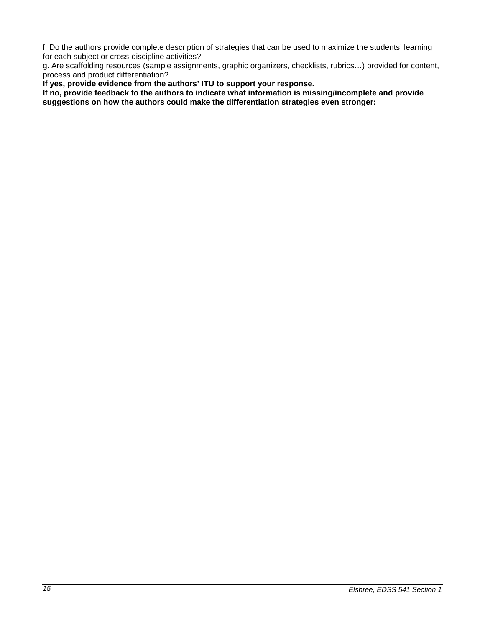f. Do the authors provide complete description of strategies that can be used to maximize the students' learning for each subject or cross-discipline activities?

g. Are scaffolding resources (sample assignments, graphic organizers, checklists, rubrics…) provided for content, process and product differentiation?

**If yes, provide evidence from the authors' ITU to support your response.**

**If no, provide feedback to the authors to indicate what information is missing/incomplete and provide suggestions on how the authors could make the differentiation strategies even stronger:**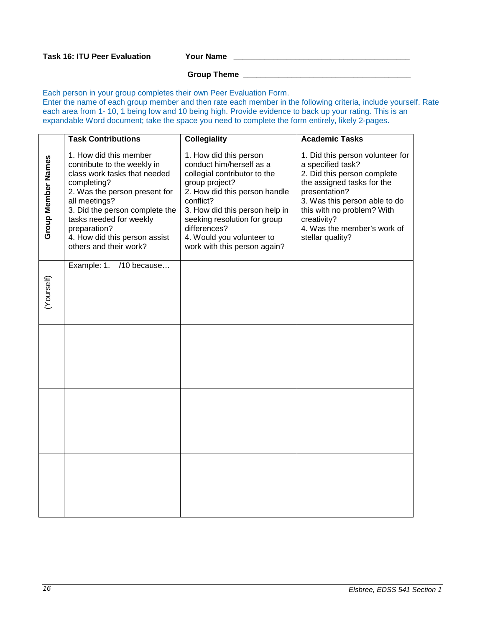#### **Group Theme \_\_\_\_\_\_\_\_\_\_\_\_\_\_\_\_\_\_\_\_\_\_\_\_\_\_\_\_\_\_\_\_\_\_\_\_\_\_**

Each person in your group completes their own Peer Evaluation Form. Enter the name of each group member and then rate each member in the following criteria, include yourself. Rate each area from 1- 10, 1 being low and 10 being high. Provide evidence to back up your rating. This is an expandable Word document; take the space you need to complete the form entirely, likely 2-pages.

|                    | <b>Task Contributions</b>                                                                                                                                                                                                                                                                      | <b>Collegiality</b>                                                                                                                                                                                                                                                                               | <b>Academic Tasks</b>                                                                                                                                                                                                                                                |
|--------------------|------------------------------------------------------------------------------------------------------------------------------------------------------------------------------------------------------------------------------------------------------------------------------------------------|---------------------------------------------------------------------------------------------------------------------------------------------------------------------------------------------------------------------------------------------------------------------------------------------------|----------------------------------------------------------------------------------------------------------------------------------------------------------------------------------------------------------------------------------------------------------------------|
| Group Member Names | 1. How did this member<br>contribute to the weekly in<br>class work tasks that needed<br>completing?<br>2. Was the person present for<br>all meetings?<br>3. Did the person complete the<br>tasks needed for weekly<br>preparation?<br>4. How did this person assist<br>others and their work? | 1. How did this person<br>conduct him/herself as a<br>collegial contributor to the<br>group project?<br>2. How did this person handle<br>conflict?<br>3. How did this person help in<br>seeking resolution for group<br>differences?<br>4. Would you volunteer to<br>work with this person again? | 1. Did this person volunteer for<br>a specified task?<br>2. Did this person complete<br>the assigned tasks for the<br>presentation?<br>3. Was this person able to do<br>this with no problem? With<br>creativity?<br>4. Was the member's work of<br>stellar quality? |
| (Yourself)         | Example: 1. /10 because                                                                                                                                                                                                                                                                        |                                                                                                                                                                                                                                                                                                   |                                                                                                                                                                                                                                                                      |
|                    |                                                                                                                                                                                                                                                                                                |                                                                                                                                                                                                                                                                                                   |                                                                                                                                                                                                                                                                      |
|                    |                                                                                                                                                                                                                                                                                                |                                                                                                                                                                                                                                                                                                   |                                                                                                                                                                                                                                                                      |
|                    |                                                                                                                                                                                                                                                                                                |                                                                                                                                                                                                                                                                                                   |                                                                                                                                                                                                                                                                      |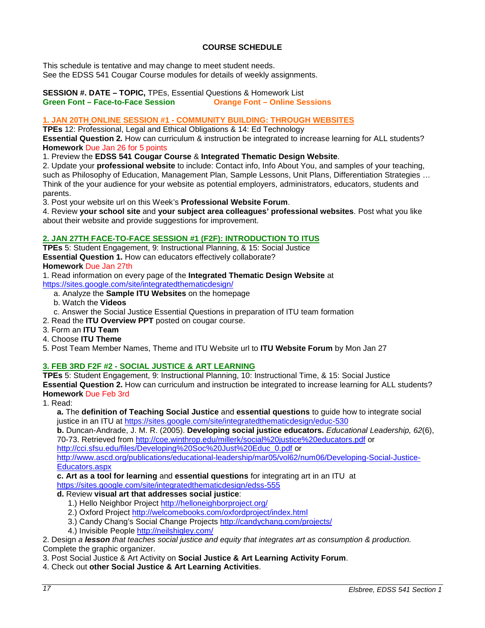# **COURSE SCHEDULE**

<span id="page-16-0"></span>This schedule is tentative and may change to meet student needs. See the EDSS 541 Cougar Course modules for details of weekly assignments.

#### **SESSION #. DATE – TOPIC,** TPEs, Essential Questions & Homework List **Green Font – Face-to-Face Session**

#### **1. JAN 20TH ONLINE SESSION #1 - COMMUNITY BUILDING: THROUGH WEBSITES**

**TPEs** 12: Professional, Legal and Ethical Obligations & 14: Ed Technology

**Essential Question 2***.* How can curriculum & instruction be integrated to increase learning for ALL students? **Homework** Due Jan 26 for 5 points

1. Preview the **EDSS 541 Cougar Course** & **Integrated Thematic Design Website**.

2. Update your **professional website** to include: Contact info, Info About You, and samples of your teaching, such as Philosophy of Education, Management Plan, Sample Lessons, Unit Plans, Differentiation Strategies ... Think of the your audience for your website as potential employers, administrators, educators, students and parents.

3. Post your website url on this Week's **Professional Website Forum**.

4. Review **your school site** and **your subject area colleagues' professional websites**. Post what you like about their website and provide suggestions for improvement.

#### **2. JAN 27TH FACE-TO-FACE SESSION #1 (F2F): INTRODUCTION TO ITUS**

**TPEs** 5: Student Engagement, 9: Instructional Planning, & 15: Social Justice **Essential Question 1.** How can educators effectively collaborate? **Homework** Due Jan 27th

1. Read information on every page of the **Integrated Thematic Design Website** at

<https://sites.google.com/site/integratedthematicdesign/>

- a. Analyze the **Sample ITU Websites** on the homepage
- b. Watch the **Videos**
- c. Answer the Social Justice Essential Questions in preparation of ITU team formation

2. Read the **ITU Overview PPT** posted on cougar course.

3. Form an **ITU Team**

- 4. Choose **ITU Theme**
- 5. Post Team Member Names, Theme and ITU Website url to **ITU Website Forum** by Mon Jan 27

### **3. FEB 3RD F2F #2 - SOCIAL JUSTICE & ART LEARNING**

**TPEs** 5: Student Engagement, 9: Instructional Planning, 10: Instructional Time, & 15: Social Justice **Essential Question 2.** How can curriculum and instruction be integrated to increase learning for ALL students? **Homework** Due Feb 3rd

1. Read:

**a.** The **definition of Teaching Social Justice** and **essential questions** to guide how to integrate social justice in an ITU at<https://sites.google.com/site/integratedthematicdesign/educ-530>

**b.** Duncan-Andrade, J. M. R. (2005). **Developing social justice educators.** *Educational Leadership, 62*(6), 70-73. Retrieved from<http://coe.winthrop.edu/millerk/social%20justice%20educators.pdf> or

[http://cci.sfsu.edu/files/Developing%20Soc%20Just%20Educ\\_0.pdf](http://cci.sfsu.edu/files/Developing%20Soc%20Just%20Educ_0.pdf) or

[http://www.ascd.org/publications/educational-leadership/mar05/vol62/num06/Developing-Social-Justice-](http://www.ascd.org/publications/educational-leadership/mar05/vol62/num06/Developing-Social-Justice-Educators.aspx)[Educators.aspx](http://www.ascd.org/publications/educational-leadership/mar05/vol62/num06/Developing-Social-Justice-Educators.aspx)

**c. Art as a tool for learning** and **essential questions** for integrating art in an ITU at

# <https://sites.google.com/site/integratedthematicdesign/edss-555>

**d.** Review **visual art that addresses social justice**:

- 1.) Hello Neighbor Project<http://helloneighborproject.org/>
- 2.) Oxford Project<http://welcomebooks.com/oxfordproject/index.html>
- 3.) Candy Chang's Social Change Projects<http://candychang.com/projects/>
- 4.) Invisible People<http://neilshigley.com/>

2. Design *a lesson that teaches social justice and equity that integrates art as consumption & production.* Complete the graphic organizer.

3. Post Social Justice & Art Activity on **Social Justice & Art Learning Activity Forum**.

4. Check out **other Social Justice & Art Learning Activities**.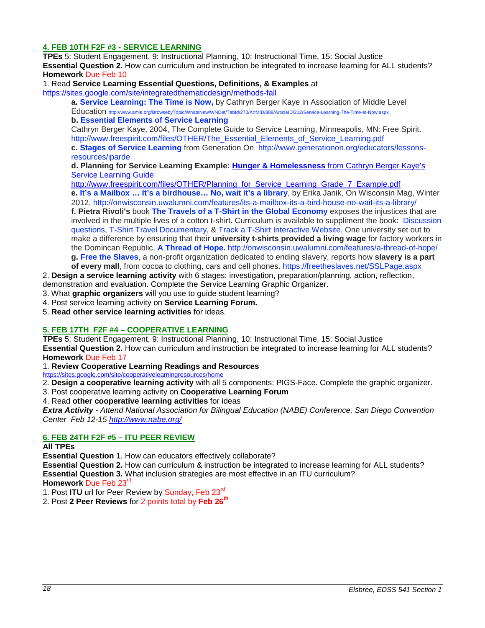### **4. FEB 10TH F2F #3 - SERVICE LEARNING**

**TPEs** 5: Student Engagement, 9: Instructional Planning, 10: Instructional Time, 15: Social Justice **Essential Question 2.** How can curriculum and instruction be integrated to increase learning for ALL students? **Homework** Due Feb 10

#### 1. Read **Service Learning Essential Questions, Definitions, & Examples** at

<https://sites.google.com/site/integratedthematicdesign/methods-fall>

**a. [Service Learning: The Time is Now,](http://www.amle.org/BrowsebyTopic/WhatsNew/WNDet/TabId/270/ArtMID/888/ArticleID/212/Service-Learning-The-Time-Is-Now.aspx)** by Cathryn Berger Kaye in Association of Middle Level Education<http://www.amle.org/BrowsebyTopic/WhatsNew/WNDet/TabId/270/ArtMID/888/ArticleID/212/Service-Learning-The-Time-Is-Now.aspx>

**b. [Essential Elements of Service Learning](http://www.freespirit.com/files/OTHER/The_Essential_Elements_of_Service_Learning.pdf)**

Cathryn Berger Kaye, 2004, The Complete Guide to Service Learning, Minneapolis, MN: Free Spirit. [http://www.freespirit.com/files/OTHER/The\\_Essential\\_Elements\\_of\\_Service\\_Learning.pdf](http://www.freespirit.com/files/OTHER/The_Essential_Elements_of_Service_Learning.pdf)

**c. [Stages of Service Learning](http://www.generationon.org/educators/lessons-resources/iparde)** from Generation On [http://www.generationon.org/educators/lessons](http://www.generationon.org/educators/lessons-resources/iparde)[resources/iparde](http://www.generationon.org/educators/lessons-resources/iparde)

**d. Planning for Service Learning Example: Hunger & Homelessness** from Cathryn Berger Kaye's Service Learning Guide

http://www.freespirit.com/files/OTHER/Planning\_for\_Service\_Learning\_Grade\_7\_Example.pdf **e. [It's a Mailbox … It's a birdhouse… No, wait it's a library](http://cc.csusm.edu/%20http:/onwisconsin.uwalumni.com/features/its-a-mailbox-its-a-bird-house-no-wait-its-a-library/)**, by Erika Janik, On Wisconsin Mag, Winter 2012.<http://onwisconsin.uwalumni.com/features/its-a-mailbox-its-a-bird-house-no-wait-its-a-library/> **f. Pietra Rivoli's** book **[The Travels of a T-Shirt in the Global Economy](http://faculty.fairfield.edu/winston/The%20Travels%20of%20a%20t-shirt.pdf)** exposes the injustices that are involved in the multiple lives of a cotton t-shirt. Curriculum is available to suppliment the book: [Discussion](http://www.frbatlanta.org/documents/pubs/extracredit/TShirtTravelsDiscussion.pdf)  [questions,](http://www.frbatlanta.org/documents/pubs/extracredit/TShirtTravelsDiscussion.pdf) [T-Shirt Travel Documentary,](http://www.pbs.org/independentlens/tshirttravels/film.html) & [Track a T-Shirt Interactive Website.](http://www.pbs.org/independentlens/tshirttravels/track.html) One university set out to make a difference by ensuring that their **university t-shirts provided a living wage** for factory workers in the Domincan Republic, **[A Thread of Hope.](http://onwisconsin.uwalumni.com/features/a-thread-of-hope/)** <http://onwisconsin.uwalumni.com/features/a-thread-of-hope/> **g. [Free the Slaves](https://freetheslaves.net/SSLPage.aspx)**, a non-profit organization dedicated to ending slavery, reports how **slavery is a part** 

**of every mall**, from cocoa to clothing, cars and cell phones.<https://freetheslaves.net/SSLPage.aspx>

2. **Design a service learning activity** with 6 stages: investigation, preparation/planning, action, reflection,

demonstration and evaluation. Complete the Service Learning Graphic Organizer.

3. What **graphic organizers** will you use to guide student learning?

- 4. Post service learning activity on **Service Learning Forum.**
- 5. **Read other service learning activities** for ideas.

#### **5. FEB 17TH F2F #4 – COOPERATIVE LEARNING**

**TPEs** 5: Student Engagement, 9: Instructional Planning, 10: Instructional Time, 15: Social Justice **Essential Question 2.** How can curriculum and instruction be integrated to increase learning for ALL students? **Homework** Due Feb 17

1. **Review Cooperative Learning Readings and Resources** 

<https://sites.google.com/site/cooperativelearningresources/home>

2. **Design a cooperative learning activity** with all 5 components: PIGS-Face. Complete the graphic organizer.

3. Post cooperative learning activity on **Cooperative Learning Forum**

4. Read **other cooperative learning activities** for ideas

*Extra Activity - Attend National Association for Bilingual Education (NABE) Conference, San Diego Convention Center Feb 12-15<http://www.nabe.org/>*

#### **6. FEB 24TH F2F #5 – ITU PEER REVIEW**

#### **All TPEs**

**Essential Question 1**. How can educators effectively collaborate?

**Essential Question 2.** How can curriculum & instruction be integrated to increase learning for ALL students? **Essential Question 3.** What inclusion strategies are most effective in an ITU curriculum? **Homework** Due Feb 23rd

1. Post **ITU** url for Peer Review by Sunday, Feb 23rd

2. Post **2 Peer Reviews** for 2 points total by **Feb 26th**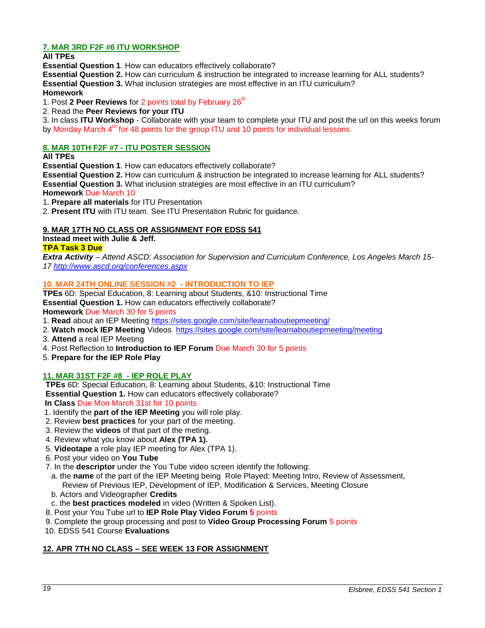# **7. MAR 3RD F2F #6 ITU WORKSHOP**

**All TPEs** 

**Essential Question 1**. How can educators effectively collaborate?

**Essential Question 2.** How can curriculum & instruction be integrated to increase learning for ALL students? **Essential Question 3.** What inclusion strategies are most effective in an ITU curriculum? **Homework** 

1. Post 2 Peer Reviews for 2 points total by February 26<sup>th</sup>

2. Read the **Peer Reviews for your ITU**

3. In class **ITU Workshop** - Collaborate with your team to complete your ITU and post the url on this weeks forum by Monday March  $4<sup>th</sup>$  for 48 points for the group ITU and 10 points for individual lessons

# **8. MAR 10TH F2F #7 - ITU POSTER SESSION**

**All TPEs** 

**Essential Question 1**. How can educators effectively collaborate?

**Essential Question 2.** How can curriculum & instruction be integrated to increase learning for ALL students? **Essential Question 3.** What inclusion strategies are most effective in an ITU curriculum?

**Homework** Due March 10

1. **Prepare all materials** for ITU Presentation

2. **Present ITU** with ITU team. See ITU Presentation Rubric for guidance.

# **9. MAR 17TH NO CLASS OR ASSIGNMENT FOR EDSS 541**

**Instead meet with Julie & Jeff.**

### **TPA Task 3 Due**

*Extra Activity – Attend ASCD: Association for Supervision and Curriculum Conference, Los Angeles March 15- 17<http://www.ascd.org/conferences.aspx>*

#### **10. MAR 24TH ONLINE SESSION #2 - INTRODUCTION TO IEP**

**TPEs** 6D: Special Education, 8: Learning about Students, &10: Instructional Time **Essential Question 1.** How can educators effectively collaborate? **Homework** Due March 30 for 5 points

1. **Read** about an IEP Meeting<https://sites.google.com/site/learnaboutiepmeeting/>

- 2. **Watch mock IEP Meeting** Videos <https://sites.google.com/site/learnaboutiepmeeting/meeting>
- 3. **Attend** a real IEP Meeting
- 4. Post Reflection to **Introduction to IEP Forum** Due March 30 for 5 points
- 5. **Prepare for the IEP Role Play**

### **11. MAR 31ST F2F #8 - IEP ROLE PLAY**

**TPEs** 6D: Special Education, 8: Learning about Students, &10: Instructional Time **Essential Question 1.** How can educators effectively collaborate?

**In Class** Due Mon March 31st for 10 points

- 1. Identify the **part of the IEP Meeting** you will role play.
- 2. Review **best practices** for your part of the meeting.
- 3. Review the **videos** of that part of the meting.
- 4. Review what you know about **Alex (TPA 1).**
- 5. **Videotape** a role play IEP meeting for Alex (TPA 1).
- 6. Post your video on **You Tube**
- 7. In the **descriptor** under the You Tube video screen identify the following:
- a. the **name** of the part of the IEP Meeting being Role Played: Meeting Intro, Review of Assessment, Review of Previous IEP, Development of IEP, Modification & Services, Meeting Closure
- b. Actors and Videographer **Credits**
- c. the **best practices modeled** in video (Written & Spoken List).
- 8. Post your You Tube url to **IEP Role Play Video Forum 5** points
- 9. Complete the group processing and post to **Video Group Processing Forum** 5 points
- 10. EDSS 541 Course **Evaluations**

### **12. APR 7TH NO CLASS – SEE WEEK 13 FOR ASSIGNMENT**